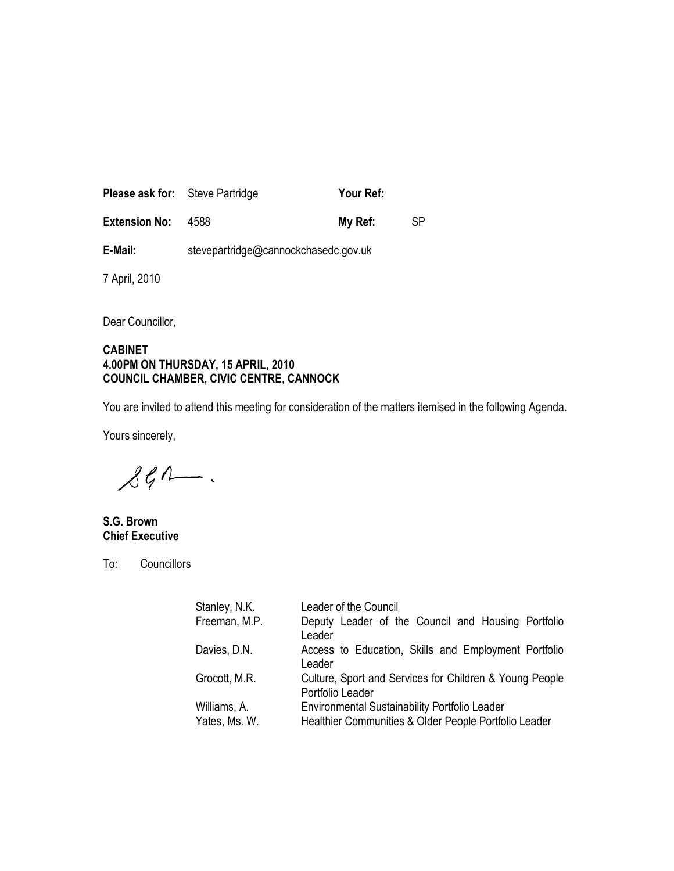| <b>Please ask for:</b> Steve Partridge |                                      | Your Ref: |    |
|----------------------------------------|--------------------------------------|-----------|----|
| <b>Extension No:</b>                   | 4588                                 | My Ref:   | SP |
| E-Mail:                                | stevepartridge@cannockchasedc.gov.uk |           |    |

7 April, 2010

Dear Councillor,

#### CABINET 4.00PM ON THURSDAY, 15 APRIL, 2010 COUNCIL CHAMBER, CIVIC CENTRE, CANNOCK

You are invited to attend this meeting for consideration of the matters itemised in the following Agenda.

Yours sincerely,

 $\mathcal{LG} \wedge \cdots.$ 

S.G. Brown Chief Executive

To: Councillors

| Stanley, N.K. | Leader of the Council                                                       |  |
|---------------|-----------------------------------------------------------------------------|--|
| Freeman, M.P. | Deputy Leader of the Council and Housing Portfolio<br>Leader                |  |
| Davies, D.N.  | Access to Education, Skills and Employment Portfolio<br>Leader              |  |
| Grocott, M.R. | Culture, Sport and Services for Children & Young People<br>Portfolio Leader |  |
| Williams, A.  | Environmental Sustainability Portfolio Leader                               |  |
| Yates, Ms. W. | Healthier Communities & Older People Portfolio Leader                       |  |